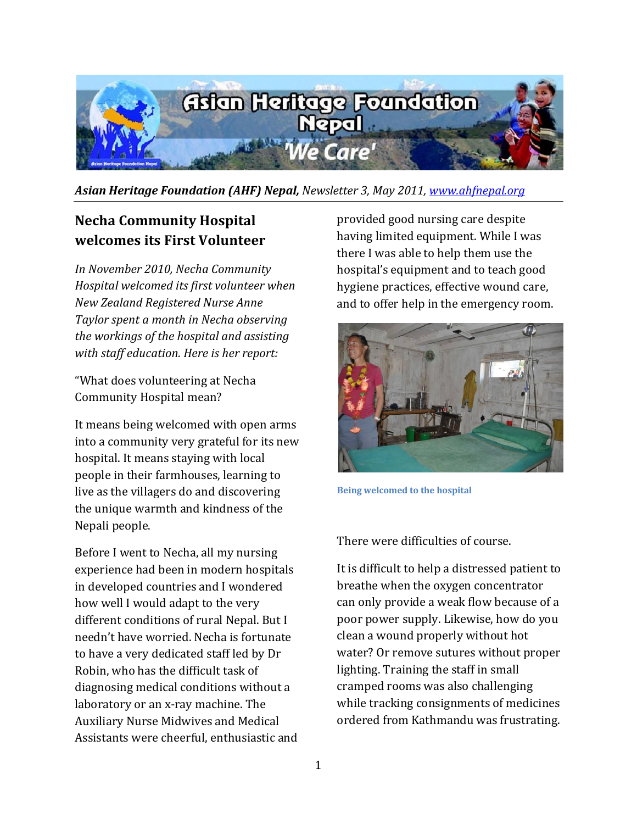

*Asian Heritage Foundation (AHF) Nepal, Newsletter 3, May 2011, [www.ahfnepal.org](file:///C:\Users\Necha\Documents\Newsletters\www.ahfnepal.org)*

## **Necha Community Hospital welcomes its First Volunteer**

*In November 2010, Necha Community Hospital welcomed its first volunteer when New Zealand Registered Nurse Anne Taylor spent a month in Necha observing the workings of the hospital and assisting with staff education. Here is her report:*

"What does volunteering at Necha Community Hospital mean?

It means being welcomed with open arms into a community very grateful for its new hospital. It means staying with local people in their farmhouses, learning to live as the villagers do and discovering the unique warmth and kindness of the Nepali people.

Before I went to Necha, all my nursing experience had been in modern hospitals in developed countries and I wondered how well I would adapt to the very different conditions of rural Nepal. But I needn't have worried. Necha is fortunate to have a very dedicated staff led by Dr Robin, who has the difficult task of diagnosing medical conditions without a laboratory or an x-ray machine. The Auxiliary Nurse Midwives and Medical Assistants were cheerful, enthusiastic and provided good nursing care despite having limited equipment. While I was there I was able to help them use the hospital's equipment and to teach good hygiene practices, effective wound care, and to offer help in the emergency room.



**Being welcomed to the hospital** 

There were difficulties of course.

It is difficult to help a distressed patient to breathe when the oxygen concentrator can only provide a weak flow because of a poor power supply. Likewise, how do you clean a wound properly without hot water? Or remove sutures without proper lighting. Training the staff in small cramped rooms was also challenging while tracking consignments of medicines ordered from Kathmandu was frustrating.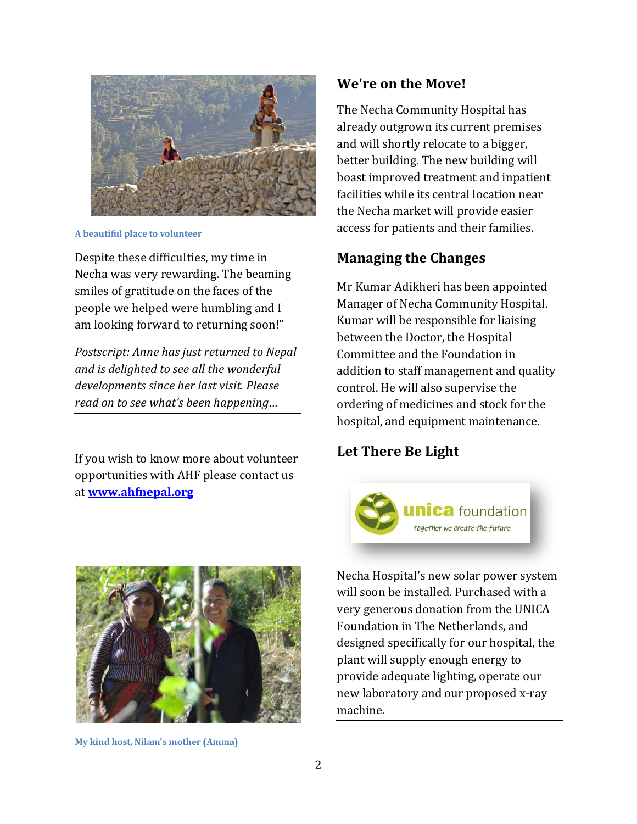

**A beautiful place to volunteer** 

Despite these difficulties, my time in Necha was very rewarding. The beaming smiles of gratitude on the faces of the people we helped were humbling and I am looking forward to returning soon!"

*Postscript: Anne has just returned to Nepal and is delighted to see all the wonderful developments since her last visit. Please read on to see what's been happening…*

If you wish to know more about volunteer opportunities with AHF please contact us at **[www.ahfnepal.org](http://www.ahfnepal.org/)**



**My kind host, Nilam's mother (Amma)** 

#### **We're on the Move!**

The Necha Community Hospital has already outgrown its current premises and will shortly relocate to a bigger, better building. The new building will boast improved treatment and inpatient facilities while its central location near the Necha market will provide easier access for patients and their families.

### **Managing the Changes**

Mr Kumar Adikheri has been appointed Manager of Necha Community Hospital. Kumar will be responsible for liaising between the Doctor, the Hospital Committee and the Foundation in addition to staff management and quality control. He will also supervise the ordering of medicines and stock for the hospital, and equipment maintenance.

### **Let There Be Light**



Necha Hospital's new solar power system will soon be installed. Purchased with a very generous donation from the UNICA Foundation in The Netherlands, and designed specifically for our hospital, the plant will supply enough energy to provide adequate lighting, operate our new laboratory and our proposed x-ray machine.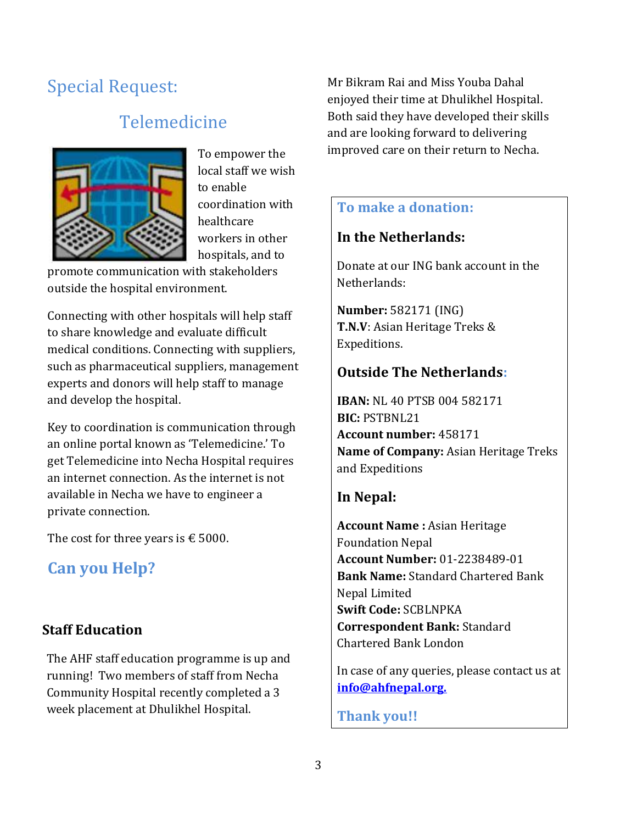# Special Request:

# Telemedicine



To empower the local staff we wish to enable coordination with healthcare workers in other hospitals, and to

promote communication with stakeholders outside the hospital environment.

Connecting with other hospitals will help staff to share knowledge and evaluate difficult medical conditions. Connecting with suppliers, such as pharmaceutical suppliers, management experts and donors will help staff to manage and develop the hospital.

Key to coordination is communication through an online portal known as 'Telemedicine.' To get Telemedicine into Necha Hospital requires an internet connection. As the internet is not available in Necha we have to engineer a private connection.

The cost for three years is  $\epsilon$  5000.

## **Can you Help?**

## **Staff Education**

The AHF staff education programme is up and running! Two members of staff from Necha Community Hospital recently completed a 3 week placement at Dhulikhel Hospital.

Mr Bikram Rai and Miss Youba Dahal enjoyed their time at Dhulikhel Hospital. Both said they have developed their skills and are looking forward to delivering improved care on their return to Necha.

## **To make a donation:**

### **In the Netherlands:**

Donate at our ING bank account in the Netherlands:

**Number:** 582171 (ING) **T.N.V**: Asian Heritage Treks & Expeditions.

### **Outside The Netherlands:**

**IBAN:** NL 40 PTSB 004 582171 **BIC:** PSTBNL21 **Account number:** 458171 **Name of Company:** Asian Heritage Treks and Expeditions

### **In Nepal:**

**Account Name :** Asian Heritage Foundation Nepal **Account Number:** 01-2238489-01 **Bank Name:** Standard Chartered Bank Nepal Limited **Swift Code:** SCBLNPKA **Correspondent Bank:** Standard Chartered Bank London

In case of any queries, please contact us at **[info@ahfnepal.org.](file:///C:\Users\Necha\Documents\Newsletters\info@ahfnepal.org)**

**Thank you!!**